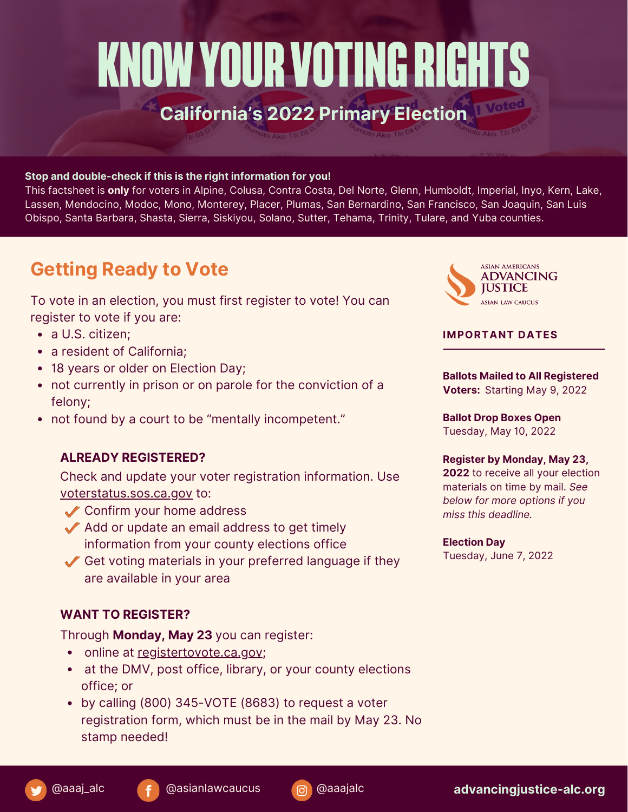# KNOW YOUR VOTING RIGHTS **California's 2022 Primary Election**

#### **Stop and double-check if this is the right information for you!**

This factsheet is **only** for voters in Alpine, Colusa, Contra Costa, Del Norte, Glenn, Humboldt, Imperial, Inyo, Kern, Lake, Lassen, Mendocino, Modoc, Mono, Monterey, Placer, Plumas, San Bernardino, San Francisco, San Joaquin, San Luis Obispo, Santa Barbara, Shasta, Sierra, Siskiyou, Solano, Sutter, Tehama, Trinity, Tulare, and Yuba counties.

# **Getting Ready to Vote**

To vote in an election, you must first register to vote! You can register to vote if you are:

- a U.S. citizen;
- a resident of California;
- 18 years or older on Election Day;
- not currently in prison or on parole for the conviction of a felony;
- not found by a court to be "mentally incompetent."

### **ALREADY REGISTERED?**

Check and update your voter registration information. Use [voterstatus.sos.ca.gov](https://voterstatus.sos.ca.gov/) to:

- Confirm your home address
- $\sqrt{\ }$  Add or update an email address to get timely information from your county elections office
- Get voting materials in your preferred language if they are available in your area

## **WANT TO REGISTER?**

Through **Monday, May 23** you can register:

- online at [registertovote.ca.gov](http://www.registertovote.ca.gov/);
- at the DMV, post office, library, or your county elections office; or
- by calling (800) 345-VOTE (8683) to request a voter registration form, which must be in the mail by May 23. No stamp needed!



#### **IMPORTANT DATES**

**Ballots Mailed to All Registered Voters:** Starting May 9, 2022

**Ballot Drop Boxes Open** Tuesday, May 10, 2022

#### **Register by Monday, May 23,**

**2022** to receive all your election materials on time by mail. *See below for more options if you miss this deadline.*

#### **Election Day**

Tuesday, June 7, 2022

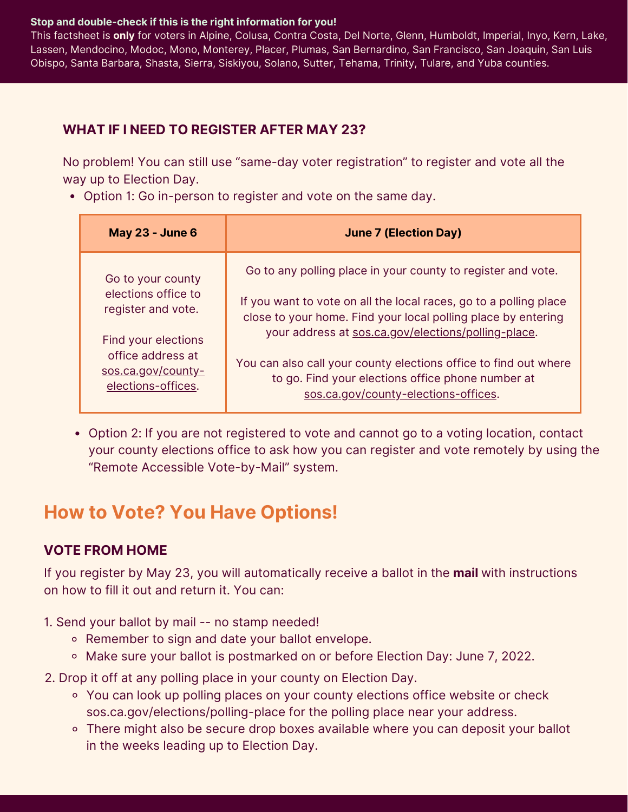#### **Stop and double-check if this is the right information for you!**

This factsheet is **only** for voters in Alpine, Colusa, Contra Costa, Del Norte, Glenn, Humboldt, Imperial, Inyo, Kern, Lake, Lassen, Mendocino, Modoc, Mono, Monterey, Placer, Plumas, San Bernardino, San Francisco, San Joaquin, San Luis Obispo, Santa Barbara, Shasta, Sierra, Siskiyou, Solano, Sutter, Tehama, Trinity, Tulare, and Yuba counties.

# **WHAT IF I NEED TO REGISTER AFTER MAY 23?**

No problem! You can still use "same-day voter registration" to register and vote all the way up to Election Day.

Option 1: Go in-person to register and vote on the same day.

| <b>May 23 - June 6</b> | <b>June 7 (Election Day)</b>                                      |
|------------------------|-------------------------------------------------------------------|
| Go to your county      | Go to any polling place in your county to register and vote.      |
| elections office to    | If you want to vote on all the local races, go to a polling place |
| register and vote.     | close to your home. Find your local polling place by entering     |
| Find your elections    | your address at sos.ca.gov/elections/polling-place.               |
| office address at      | You can also call your county elections office to find out where  |
| sos.ca.gov/county-     | to go. Find your elections office phone number at                 |
| elections-offices.     | sos.ca.gov/county-elections-offices.                              |

Option 2: If you are not registered to vote and cannot go to a voting location, contact your county elections office to ask how you can register and vote remotely by using the "Remote Accessible Vote-by-Mail" system.

# **How to Vote? You Have Options!**

# **VOTE FROM HOME**

If you register by May 23, you will automatically receive a ballot in the **mail** with instructions on how to fill it out and return it. You can:

- 1. Send your ballot by mail -- no stamp needed!
	- o Remember to sign and date your ballot envelope.
	- o Make sure your ballot is postmarked on or before Election Day: June 7, 2022.
- 2. Drop it off at any polling place in your county on Election Day.
	- You can look up polling places on your county elections office website or check [sos.ca.gov/elections/polling-place](https://www.sos.ca.gov/elections/polling-place/) for the polling place near your address.
	- There might also be secure drop boxes available where you can deposit your ballot in the weeks leading up to Election Day.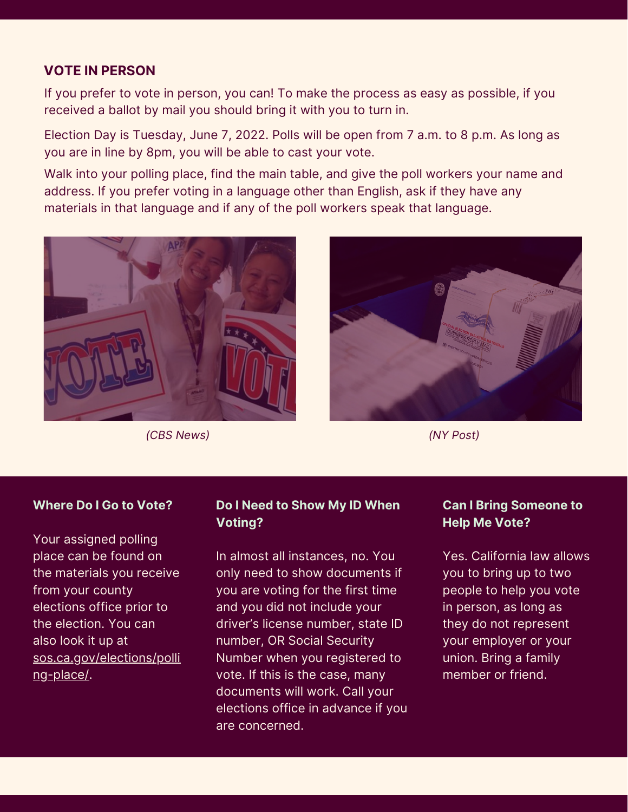# **VOTE IN PERSON**

If you prefer to vote in person, you can! To make the process as easy as possible, if you received a ballot by mail you should bring it with you to turn in.

Election Day is Tuesday, June 7, 2022. Polls will be open from 7 a.m. to 8 p.m. As long as you are in line by 8pm, you will be able to cast your vote.

Walk into your polling place, find the main table, and give the poll workers your name and address. If you prefer voting in a language other than English, ask if they have any materials in that language and if any of the poll workers speak that language.



*(CBS News) (NY Post)*



## **Where Do I Go to Vote?**

Your assigned polling place can be found on the materials you receive from your county elections office prior to the election. You can also look it up at [sos.ca.gov/elections/polli](http://www.sos.ca.gov/elections/polling-place/) ng-place/.

## **Do I Need to Show My ID When Voting?**

In almost all instances, no. You only need to show documents if you are voting for the first time and you did not include your driver's license number, state ID number, OR Social Security Number when you registered to vote. If this is the case, many documents will work. Call your elections office in advance if you are concerned.

# **Can I Bring Someone to Help Me Vote?**

Yes. California law allows you to bring up to two people to help you vote in person, as long as they do not represent your employer or your union. Bring a family member or friend.